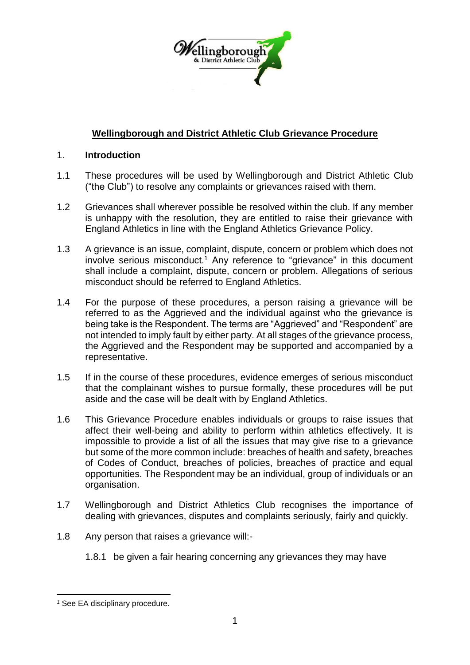

# **Wellingborough and District Athletic Club Grievance Procedure**

### 1. **Introduction**

- 1.1 These procedures will be used by Wellingborough and District Athletic Club ("the Club") to resolve any complaints or grievances raised with them.
- 1.2 Grievances shall wherever possible be resolved within the club. If any member is unhappy with the resolution, they are entitled to raise their grievance with England Athletics in line with the England Athletics Grievance Policy.
- 1.3 A grievance is an issue, complaint, dispute, concern or problem which does not involve serious misconduct.<sup>1</sup> Any reference to "grievance" in this document shall include a complaint, dispute, concern or problem. Allegations of serious misconduct should be referred to England Athletics.
- 1.4 For the purpose of these procedures, a person raising a grievance will be referred to as the Aggrieved and the individual against who the grievance is being take is the Respondent. The terms are "Aggrieved" and "Respondent" are not intended to imply fault by either party. At all stages of the grievance process, the Aggrieved and the Respondent may be supported and accompanied by a representative.
- 1.5 If in the course of these procedures, evidence emerges of serious misconduct that the complainant wishes to pursue formally, these procedures will be put aside and the case will be dealt with by England Athletics.
- 1.6 This Grievance Procedure enables individuals or groups to raise issues that affect their well-being and ability to perform within athletics effectively. It is impossible to provide a list of all the issues that may give rise to a grievance but some of the more common include: breaches of health and safety, breaches of Codes of Conduct, breaches of policies, breaches of practice and equal opportunities. The Respondent may be an individual, group of individuals or an organisation.
- 1.7 Wellingborough and District Athletics Club recognises the importance of dealing with grievances, disputes and complaints seriously, fairly and quickly.
- 1.8 Any person that raises a grievance will:-
	- 1.8.1 be given a fair hearing concerning any grievances they may have

1

<sup>&</sup>lt;sup>1</sup> See EA disciplinary procedure.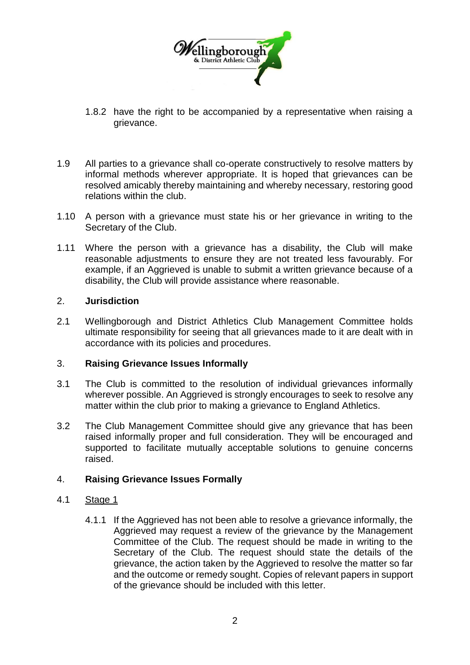

- 1.8.2 have the right to be accompanied by a representative when raising a grievance.
- 1.9 All parties to a grievance shall co-operate constructively to resolve matters by informal methods wherever appropriate. It is hoped that grievances can be resolved amicably thereby maintaining and whereby necessary, restoring good relations within the club.
- 1.10 A person with a grievance must state his or her grievance in writing to the Secretary of the Club.
- 1.11 Where the person with a grievance has a disability, the Club will make reasonable adjustments to ensure they are not treated less favourably. For example, if an Aggrieved is unable to submit a written grievance because of a disability, the Club will provide assistance where reasonable.

## 2. **Jurisdiction**

2.1 Wellingborough and District Athletics Club Management Committee holds ultimate responsibility for seeing that all grievances made to it are dealt with in accordance with its policies and procedures.

#### 3. **Raising Grievance Issues Informally**

- 3.1 The Club is committed to the resolution of individual grievances informally wherever possible. An Aggrieved is strongly encourages to seek to resolve any matter within the club prior to making a grievance to England Athletics.
- 3.2 The Club Management Committee should give any grievance that has been raised informally proper and full consideration. They will be encouraged and supported to facilitate mutually acceptable solutions to genuine concerns raised.

## 4. **Raising Grievance Issues Formally**

#### 4.1 Stage 1

4.1.1 If the Aggrieved has not been able to resolve a grievance informally, the Aggrieved may request a review of the grievance by the Management Committee of the Club. The request should be made in writing to the Secretary of the Club. The request should state the details of the grievance, the action taken by the Aggrieved to resolve the matter so far and the outcome or remedy sought. Copies of relevant papers in support of the grievance should be included with this letter.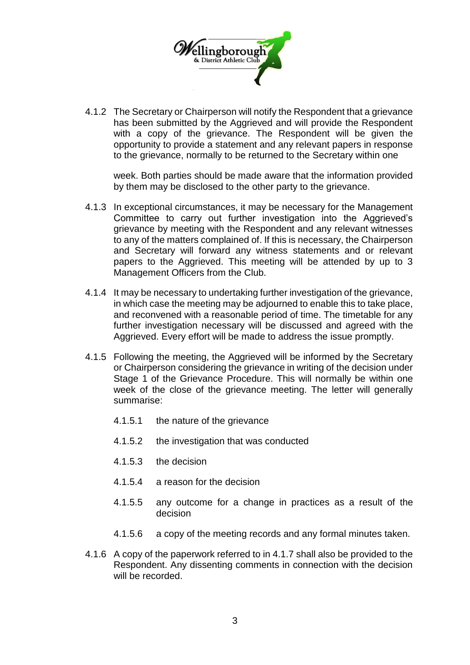

4.1.2 The Secretary or Chairperson will notify the Respondent that a grievance has been submitted by the Aggrieved and will provide the Respondent with a copy of the grievance. The Respondent will be given the opportunity to provide a statement and any relevant papers in response to the grievance, normally to be returned to the Secretary within one

week. Both parties should be made aware that the information provided by them may be disclosed to the other party to the grievance.

- 4.1.3 In exceptional circumstances, it may be necessary for the Management Committee to carry out further investigation into the Aggrieved's grievance by meeting with the Respondent and any relevant witnesses to any of the matters complained of. If this is necessary, the Chairperson and Secretary will forward any witness statements and or relevant papers to the Aggrieved. This meeting will be attended by up to 3 Management Officers from the Club.
- 4.1.4 It may be necessary to undertaking further investigation of the grievance, in which case the meeting may be adjourned to enable this to take place, and reconvened with a reasonable period of time. The timetable for any further investigation necessary will be discussed and agreed with the Aggrieved. Every effort will be made to address the issue promptly.
- 4.1.5 Following the meeting, the Aggrieved will be informed by the Secretary or Chairperson considering the grievance in writing of the decision under Stage 1 of the Grievance Procedure. This will normally be within one week of the close of the grievance meeting. The letter will generally summarise:
	- 4.1.5.1 the nature of the grievance
	- 4.1.5.2 the investigation that was conducted
	- 4.1.5.3 the decision
	- 4.1.5.4 a reason for the decision
	- 4.1.5.5 any outcome for a change in practices as a result of the decision
	- 4.1.5.6 a copy of the meeting records and any formal minutes taken.
- 4.1.6 A copy of the paperwork referred to in 4.1.7 shall also be provided to the Respondent. Any dissenting comments in connection with the decision will be recorded.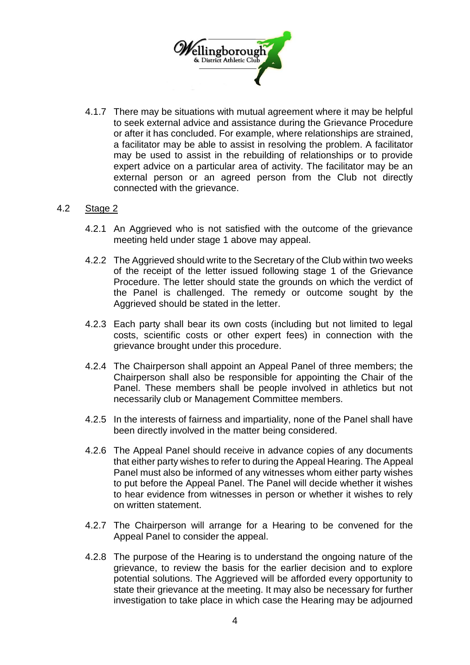

4.1.7 There may be situations with mutual agreement where it may be helpful to seek external advice and assistance during the Grievance Procedure or after it has concluded. For example, where relationships are strained, a facilitator may be able to assist in resolving the problem. A facilitator may be used to assist in the rebuilding of relationships or to provide expert advice on a particular area of activity. The facilitator may be an external person or an agreed person from the Club not directly connected with the grievance.

## 4.2 Stage 2

- 4.2.1 An Aggrieved who is not satisfied with the outcome of the grievance meeting held under stage 1 above may appeal.
- 4.2.2 The Aggrieved should write to the Secretary of the Club within two weeks of the receipt of the letter issued following stage 1 of the Grievance Procedure. The letter should state the grounds on which the verdict of the Panel is challenged. The remedy or outcome sought by the Aggrieved should be stated in the letter.
- 4.2.3 Each party shall bear its own costs (including but not limited to legal costs, scientific costs or other expert fees) in connection with the grievance brought under this procedure.
- 4.2.4 The Chairperson shall appoint an Appeal Panel of three members; the Chairperson shall also be responsible for appointing the Chair of the Panel. These members shall be people involved in athletics but not necessarily club or Management Committee members.
- 4.2.5 In the interests of fairness and impartiality, none of the Panel shall have been directly involved in the matter being considered.
- 4.2.6 The Appeal Panel should receive in advance copies of any documents that either party wishes to refer to during the Appeal Hearing. The Appeal Panel must also be informed of any witnesses whom either party wishes to put before the Appeal Panel. The Panel will decide whether it wishes to hear evidence from witnesses in person or whether it wishes to rely on written statement.
- 4.2.7 The Chairperson will arrange for a Hearing to be convened for the Appeal Panel to consider the appeal.
- 4.2.8 The purpose of the Hearing is to understand the ongoing nature of the grievance, to review the basis for the earlier decision and to explore potential solutions. The Aggrieved will be afforded every opportunity to state their grievance at the meeting. It may also be necessary for further investigation to take place in which case the Hearing may be adjourned